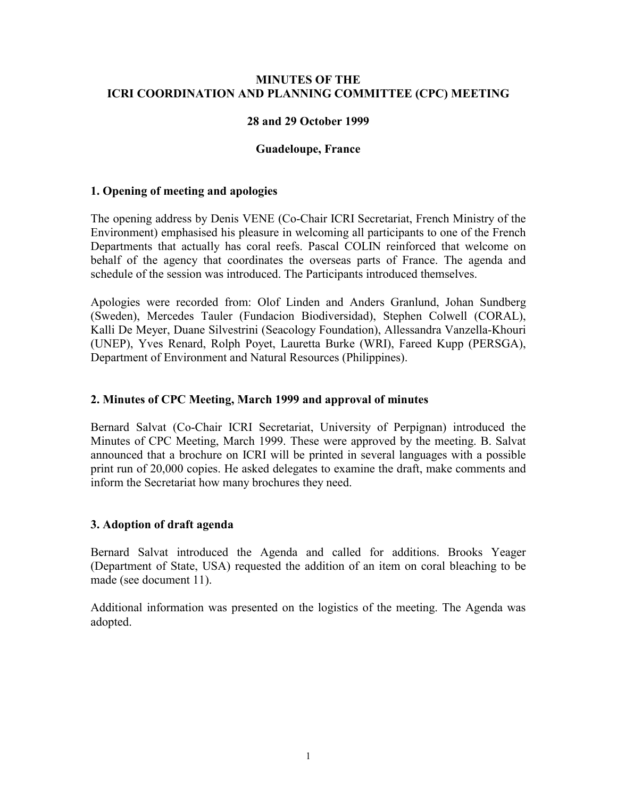#### **MINUTES OF THE ICRI COORDINATION AND PLANNING COMMITTEE (CPC) MEETING**

#### **28 and 29 October 1999**

#### **Guadeloupe, France**

#### **1. Opening of meeting and apologies**

The opening address by Denis VENE (Co-Chair ICRI Secretariat, French Ministry of the Environment) emphasised his pleasure in welcoming all participants to one of the French Departments that actually has coral reefs. Pascal COLIN reinforced that welcome on behalf of the agency that coordinates the overseas parts of France. The agenda and schedule of the session was introduced. The Participants introduced themselves.

Apologies were recorded from: Olof Linden and Anders Granlund, Johan Sundberg (Sweden), Mercedes Tauler (Fundacion Biodiversidad), Stephen Colwell (CORAL), Kalli De Meyer, Duane Silvestrini (Seacology Foundation), Allessandra Vanzella-Khouri (UNEP), Yves Renard, Rolph Poyet, Lauretta Burke (WRI), Fareed Kupp (PERSGA), Department of Environment and Natural Resources (Philippines).

#### **2. Minutes of CPC Meeting, March 1999 and approval of minutes**

Bernard Salvat (Co-Chair ICRI Secretariat, University of Perpignan) introduced the Minutes of CPC Meeting, March 1999. These were approved by the meeting. B. Salvat announced that a brochure on ICRI will be printed in several languages with a possible print run of 20,000 copies. He asked delegates to examine the draft, make comments and inform the Secretariat how many brochures they need.

#### **3. Adoption of draft agenda**

Bernard Salvat introduced the Agenda and called for additions. Brooks Yeager (Department of State, USA) requested the addition of an item on coral bleaching to be made (see document 11).

Additional information was presented on the logistics of the meeting. The Agenda was adopted.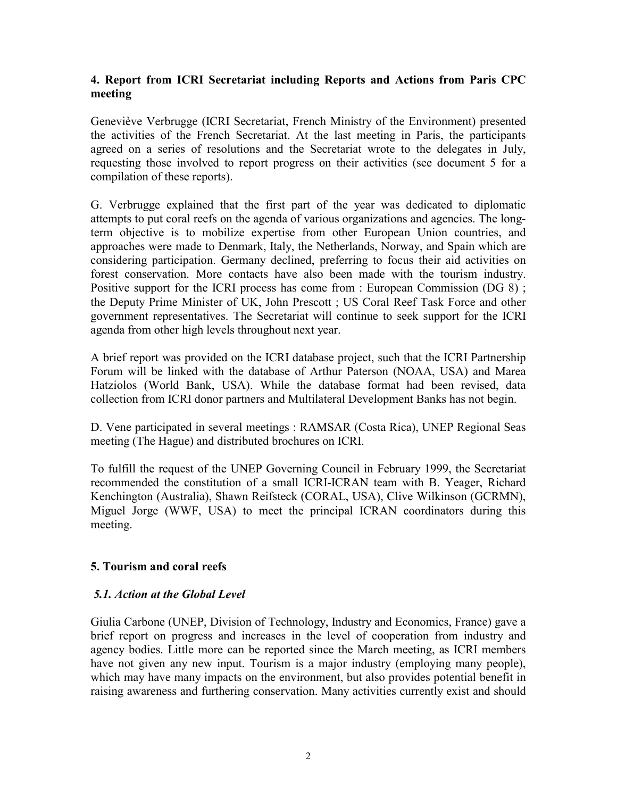### **4. Report from ICRI Secretariat including Reports and Actions from Paris CPC meeting**

Geneviève Verbrugge (ICRI Secretariat, French Ministry of the Environment) presented the activities of the French Secretariat. At the last meeting in Paris, the participants agreed on a series of resolutions and the Secretariat wrote to the delegates in July, requesting those involved to report progress on their activities (see document 5 for a compilation of these reports).

G. Verbrugge explained that the first part of the year was dedicated to diplomatic attempts to put coral reefs on the agenda of various organizations and agencies. The longterm objective is to mobilize expertise from other European Union countries, and approaches were made to Denmark, Italy, the Netherlands, Norway, and Spain which are considering participation. Germany declined, preferring to focus their aid activities on forest conservation. More contacts have also been made with the tourism industry. Positive support for the ICRI process has come from : European Commission (DG 8); the Deputy Prime Minister of UK, John Prescott ; US Coral Reef Task Force and other government representatives. The Secretariat will continue to seek support for the ICRI agenda from other high levels throughout next year.

A brief report was provided on the ICRI database project, such that the ICRI Partnership Forum will be linked with the database of Arthur Paterson (NOAA, USA) and Marea Hatziolos (World Bank, USA). While the database format had been revised, data collection from ICRI donor partners and Multilateral Development Banks has not begin.

D. Vene participated in several meetings : RAMSAR (Costa Rica), UNEP Regional Seas meeting (The Hague) and distributed brochures on ICRI.

To fulfill the request of the UNEP Governing Council in February 1999, the Secretariat recommended the constitution of a small ICRI-ICRAN team with B. Yeager, Richard Kenchington (Australia), Shawn Reifsteck (CORAL, USA), Clive Wilkinson (GCRMN), Miguel Jorge (WWF, USA) to meet the principal ICRAN coordinators during this meeting.

### **5. Tourism and coral reefs**

### *5.1. Action at the Global Level*

Giulia Carbone (UNEP, Division of Technology, Industry and Economics, France) gave a brief report on progress and increases in the level of cooperation from industry and agency bodies. Little more can be reported since the March meeting, as ICRI members have not given any new input. Tourism is a major industry (employing many people), which may have many impacts on the environment, but also provides potential benefit in raising awareness and furthering conservation. Many activities currently exist and should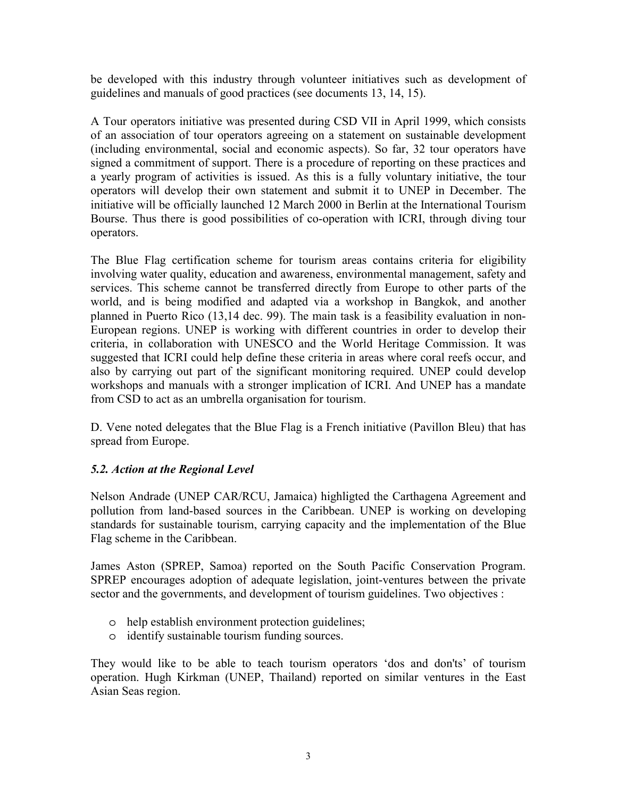be developed with this industry through volunteer initiatives such as development of guidelines and manuals of good practices (see documents 13, 14, 15).

A Tour operators initiative was presented during CSD VII in April 1999, which consists of an association of tour operators agreeing on a statement on sustainable development (including environmental, social and economic aspects). So far, 32 tour operators have signed a commitment of support. There is a procedure of reporting on these practices and a yearly program of activities is issued. As this is a fully voluntary initiative, the tour operators will develop their own statement and submit it to UNEP in December. The initiative will be officially launched 12 March 2000 in Berlin at the International Tourism Bourse. Thus there is good possibilities of co-operation with ICRI, through diving tour operators.

The Blue Flag certification scheme for tourism areas contains criteria for eligibility involving water quality, education and awareness, environmental management, safety and services. This scheme cannot be transferred directly from Europe to other parts of the world, and is being modified and adapted via a workshop in Bangkok, and another planned in Puerto Rico (13,14 dec. 99). The main task is a feasibility evaluation in non-European regions. UNEP is working with different countries in order to develop their criteria, in collaboration with UNESCO and the World Heritage Commission. It was suggested that ICRI could help define these criteria in areas where coral reefs occur, and also by carrying out part of the significant monitoring required. UNEP could develop workshops and manuals with a stronger implication of ICRI. And UNEP has a mandate from CSD to act as an umbrella organisation for tourism.

D. Vene noted delegates that the Blue Flag is a French initiative (Pavillon Bleu) that has spread from Europe.

# *5.2. Action at the Regional Level*

Nelson Andrade (UNEP CAR/RCU, Jamaica) highligted the Carthagena Agreement and pollution from land-based sources in the Caribbean. UNEP is working on developing standards for sustainable tourism, carrying capacity and the implementation of the Blue Flag scheme in the Caribbean.

James Aston (SPREP, Samoa) reported on the South Pacific Conservation Program. SPREP encourages adoption of adequate legislation, joint-ventures between the private sector and the governments, and development of tourism guidelines. Two objectives :

- o help establish environment protection guidelines;
- o identify sustainable tourism funding sources.

They would like to be able to teach tourism operators 'dos and don'ts' of tourism operation. Hugh Kirkman (UNEP, Thailand) reported on similar ventures in the East Asian Seas region.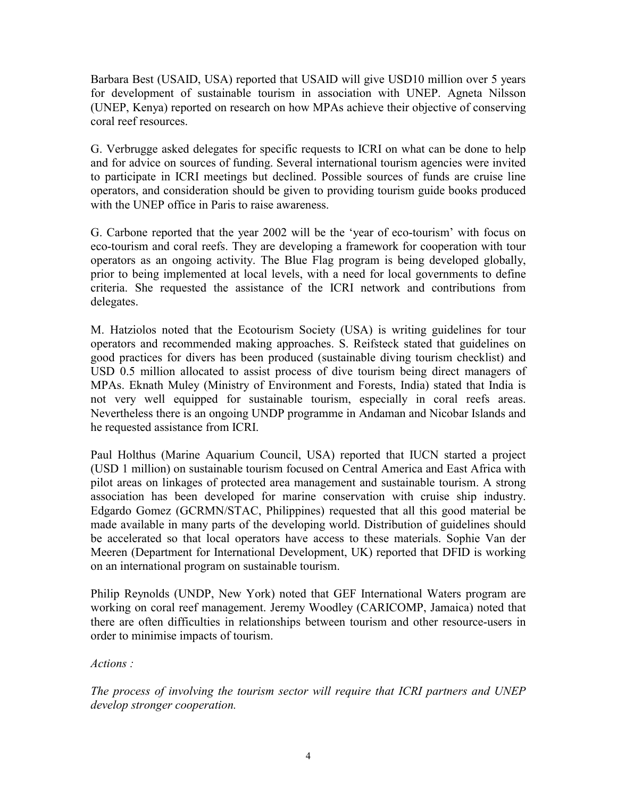Barbara Best (USAID, USA) reported that USAID will give USD10 million over 5 years for development of sustainable tourism in association with UNEP. Agneta Nilsson (UNEP, Kenya) reported on research on how MPAs achieve their objective of conserving coral reef resources.

G. Verbrugge asked delegates for specific requests to ICRI on what can be done to help and for advice on sources of funding. Several international tourism agencies were invited to participate in ICRI meetings but declined. Possible sources of funds are cruise line operators, and consideration should be given to providing tourism guide books produced with the UNEP office in Paris to raise awareness.

G. Carbone reported that the year 2002 will be the 'year of eco-tourism' with focus on eco-tourism and coral reefs. They are developing a framework for cooperation with tour operators as an ongoing activity. The Blue Flag program is being developed globally, prior to being implemented at local levels, with a need for local governments to define criteria. She requested the assistance of the ICRI network and contributions from delegates.

M. Hatziolos noted that the Ecotourism Society (USA) is writing guidelines for tour operators and recommended making approaches. S. Reifsteck stated that guidelines on good practices for divers has been produced (sustainable diving tourism checklist) and USD 0.5 million allocated to assist process of dive tourism being direct managers of MPAs. Eknath Muley (Ministry of Environment and Forests, India) stated that India is not very well equipped for sustainable tourism, especially in coral reefs areas. Nevertheless there is an ongoing UNDP programme in Andaman and Nicobar Islands and he requested assistance from ICRI.

Paul Holthus (Marine Aquarium Council, USA) reported that IUCN started a project (USD 1 million) on sustainable tourism focused on Central America and East Africa with pilot areas on linkages of protected area management and sustainable tourism. A strong association has been developed for marine conservation with cruise ship industry. Edgardo Gomez (GCRMN/STAC, Philippines) requested that all this good material be made available in many parts of the developing world. Distribution of guidelines should be accelerated so that local operators have access to these materials. Sophie Van der Meeren (Department for International Development, UK) reported that DFID is working on an international program on sustainable tourism.

Philip Reynolds (UNDP, New York) noted that GEF International Waters program are working on coral reef management. Jeremy Woodley (CARICOMP, Jamaica) noted that there are often difficulties in relationships between tourism and other resource-users in order to minimise impacts of tourism.

*Actions :* 

*The process of involving the tourism sector will require that ICRI partners and UNEP develop stronger cooperation.*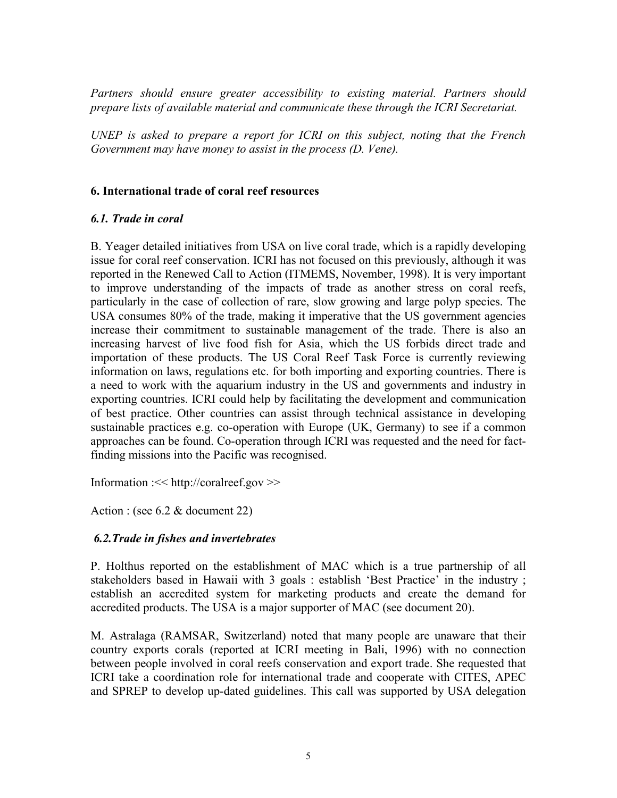*Partners should ensure greater accessibility to existing material. Partners should prepare lists of available material and communicate these through the ICRI Secretariat.* 

*UNEP is asked to prepare a report for ICRI on this subject, noting that the French Government may have money to assist in the process (D. Vene).* 

### **6. International trade of coral reef resources**

### *6.1. Trade in coral*

B. Yeager detailed initiatives from USA on live coral trade, which is a rapidly developing issue for coral reef conservation. ICRI has not focused on this previously, although it was reported in the Renewed Call to Action (ITMEMS, November, 1998). It is very important to improve understanding of the impacts of trade as another stress on coral reefs, particularly in the case of collection of rare, slow growing and large polyp species. The USA consumes 80% of the trade, making it imperative that the US government agencies increase their commitment to sustainable management of the trade. There is also an increasing harvest of live food fish for Asia, which the US forbids direct trade and importation of these products. The US Coral Reef Task Force is currently reviewing information on laws, regulations etc. for both importing and exporting countries. There is a need to work with the aquarium industry in the US and governments and industry in exporting countries. ICRI could help by facilitating the development and communication of best practice. Other countries can assist through technical assistance in developing sustainable practices e.g. co-operation with Europe (UK, Germany) to see if a common approaches can be found. Co-operation through ICRI was requested and the need for factfinding missions into the Pacific was recognised.

Information :<< http://coralreef.gov >>

Action : (see 6.2 & document 22)

### *6.2.Trade in fishes and invertebrates*

P. Holthus reported on the establishment of MAC which is a true partnership of all stakeholders based in Hawaii with 3 goals : establish 'Best Practice' in the industry; establish an accredited system for marketing products and create the demand for accredited products. The USA is a major supporter of MAC (see document 20).

M. Astralaga (RAMSAR, Switzerland) noted that many people are unaware that their country exports corals (reported at ICRI meeting in Bali, 1996) with no connection between people involved in coral reefs conservation and export trade. She requested that ICRI take a coordination role for international trade and cooperate with CITES, APEC and SPREP to develop up-dated guidelines. This call was supported by USA delegation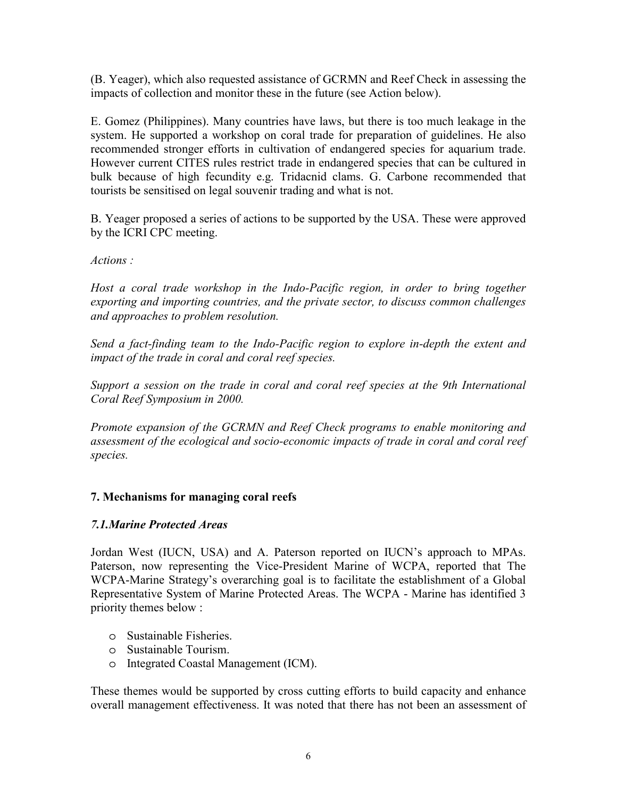(B. Yeager), which also requested assistance of GCRMN and Reef Check in assessing the impacts of collection and monitor these in the future (see Action below).

E. Gomez (Philippines). Many countries have laws, but there is too much leakage in the system. He supported a workshop on coral trade for preparation of guidelines. He also recommended stronger efforts in cultivation of endangered species for aquarium trade. However current CITES rules restrict trade in endangered species that can be cultured in bulk because of high fecundity e.g. Tridacnid clams. G. Carbone recommended that tourists be sensitised on legal souvenir trading and what is not.

B. Yeager proposed a series of actions to be supported by the USA. These were approved by the ICRI CPC meeting.

## *Actions :*

Host a coral trade workshop in the Indo-Pacific region, in order to bring together *exporting and importing countries, and the private sector, to discuss common challenges and approaches to problem resolution.* 

*Send a fact-finding team to the Indo-Pacific region to explore in-depth the extent and impact of the trade in coral and coral reef species.* 

*Support a session on the trade in coral and coral reef species at the 9th International Coral Reef Symposium in 2000.* 

*Promote expansion of the GCRMN and Reef Check programs to enable monitoring and assessment of the ecological and socio-economic impacts of trade in coral and coral reef species.* 

# **7. Mechanisms for managing coral reefs**

# *7.1.Marine Protected Areas*

Jordan West (IUCN, USA) and A. Paterson reported on IUCN's approach to MPAs. Paterson, now representing the Vice-President Marine of WCPA, reported that The WCPA-Marine Strategy's overarching goal is to facilitate the establishment of a Global Representative System of Marine Protected Areas. The WCPA - Marine has identified 3 priority themes below :

- o Sustainable Fisheries.
- o Sustainable Tourism.
- o Integrated Coastal Management (ICM).

These themes would be supported by cross cutting efforts to build capacity and enhance overall management effectiveness. It was noted that there has not been an assessment of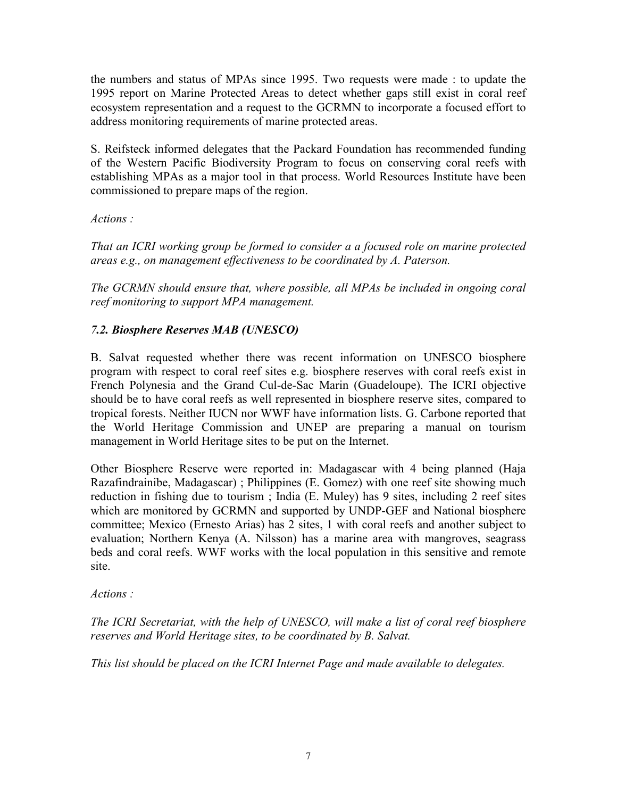the numbers and status of MPAs since 1995. Two requests were made : to update the 1995 report on Marine Protected Areas to detect whether gaps still exist in coral reef ecosystem representation and a request to the GCRMN to incorporate a focused effort to address monitoring requirements of marine protected areas.

S. Reifsteck informed delegates that the Packard Foundation has recommended funding of the Western Pacific Biodiversity Program to focus on conserving coral reefs with establishing MPAs as a major tool in that process. World Resources Institute have been commissioned to prepare maps of the region.

### *Actions :*

*That an ICRI working group be formed to consider a a focused role on marine protected areas e.g., on management effectiveness to be coordinated by A. Paterson.* 

*The GCRMN should ensure that, where possible, all MPAs be included in ongoing coral reef monitoring to support MPA management.* 

## *7.2. Biosphere Reserves MAB (UNESCO)*

B. Salvat requested whether there was recent information on UNESCO biosphere program with respect to coral reef sites e.g. biosphere reserves with coral reefs exist in French Polynesia and the Grand Cul-de-Sac Marin (Guadeloupe). The ICRI objective should be to have coral reefs as well represented in biosphere reserve sites, compared to tropical forests. Neither IUCN nor WWF have information lists. G. Carbone reported that the World Heritage Commission and UNEP are preparing a manual on tourism management in World Heritage sites to be put on the Internet.

Other Biosphere Reserve were reported in: Madagascar with 4 being planned (Haja Razafindrainibe, Madagascar) ; Philippines (E. Gomez) with one reef site showing much reduction in fishing due to tourism ; India (E. Muley) has 9 sites, including 2 reef sites which are monitored by GCRMN and supported by UNDP-GEF and National biosphere committee; Mexico (Ernesto Arias) has 2 sites, 1 with coral reefs and another subject to evaluation; Northern Kenya (A. Nilsson) has a marine area with mangroves, seagrass beds and coral reefs. WWF works with the local population in this sensitive and remote site.

### *Actions :*

*The ICRI Secretariat, with the help of UNESCO, will make a list of coral reef biosphere reserves and World Heritage sites, to be coordinated by B. Salvat.* 

*This list should be placed on the ICRI Internet Page and made available to delegates.*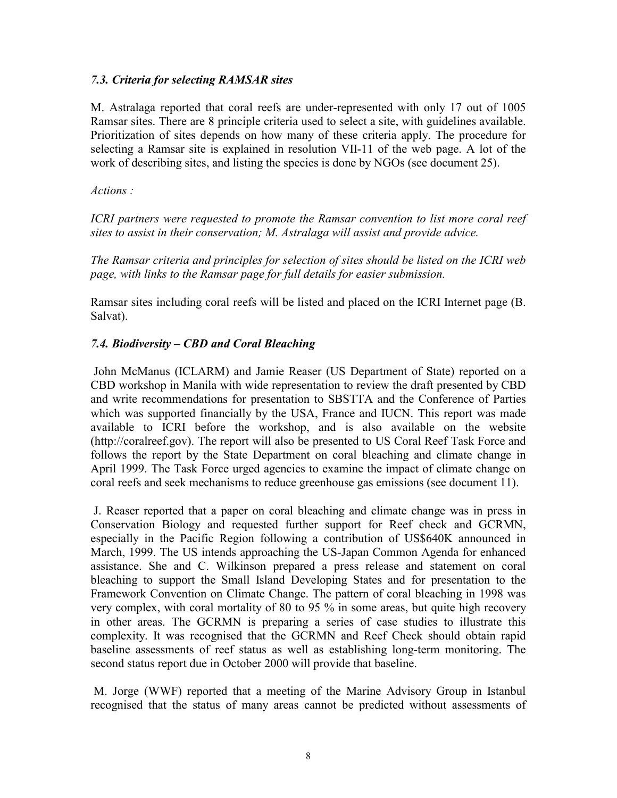#### *7.3. Criteria for selecting RAMSAR sites*

M. Astralaga reported that coral reefs are under-represented with only 17 out of 1005 Ramsar sites. There are 8 principle criteria used to select a site, with guidelines available. Prioritization of sites depends on how many of these criteria apply. The procedure for selecting a Ramsar site is explained in resolution VII-11 of the web page. A lot of the work of describing sites, and listing the species is done by NGOs (see document 25).

*Actions :* 

*ICRI partners were requested to promote the Ramsar convention to list more coral reef sites to assist in their conservation; M. Astralaga will assist and provide advice.* 

*The Ramsar criteria and principles for selection of sites should be listed on the ICRI web page, with links to the Ramsar page for full details for easier submission.* 

Ramsar sites including coral reefs will be listed and placed on the ICRI Internet page (B. Salvat).

### *7.4. Biodiversity – CBD and Coral Bleaching*

 John McManus (ICLARM) and Jamie Reaser (US Department of State) reported on a CBD workshop in Manila with wide representation to review the draft presented by CBD and write recommendations for presentation to SBSTTA and the Conference of Parties which was supported financially by the USA, France and IUCN. This report was made available to ICRI before the workshop, and is also available on the website (http://coralreef.gov). The report will also be presented to US Coral Reef Task Force and follows the report by the State Department on coral bleaching and climate change in April 1999. The Task Force urged agencies to examine the impact of climate change on coral reefs and seek mechanisms to reduce greenhouse gas emissions (see document 11).

 J. Reaser reported that a paper on coral bleaching and climate change was in press in Conservation Biology and requested further support for Reef check and GCRMN, especially in the Pacific Region following a contribution of US\$640K announced in March, 1999. The US intends approaching the US-Japan Common Agenda for enhanced assistance. She and C. Wilkinson prepared a press release and statement on coral bleaching to support the Small Island Developing States and for presentation to the Framework Convention on Climate Change. The pattern of coral bleaching in 1998 was very complex, with coral mortality of 80 to 95 % in some areas, but quite high recovery in other areas. The GCRMN is preparing a series of case studies to illustrate this complexity. It was recognised that the GCRMN and Reef Check should obtain rapid baseline assessments of reef status as well as establishing long-term monitoring. The second status report due in October 2000 will provide that baseline.

 M. Jorge (WWF) reported that a meeting of the Marine Advisory Group in Istanbul recognised that the status of many areas cannot be predicted without assessments of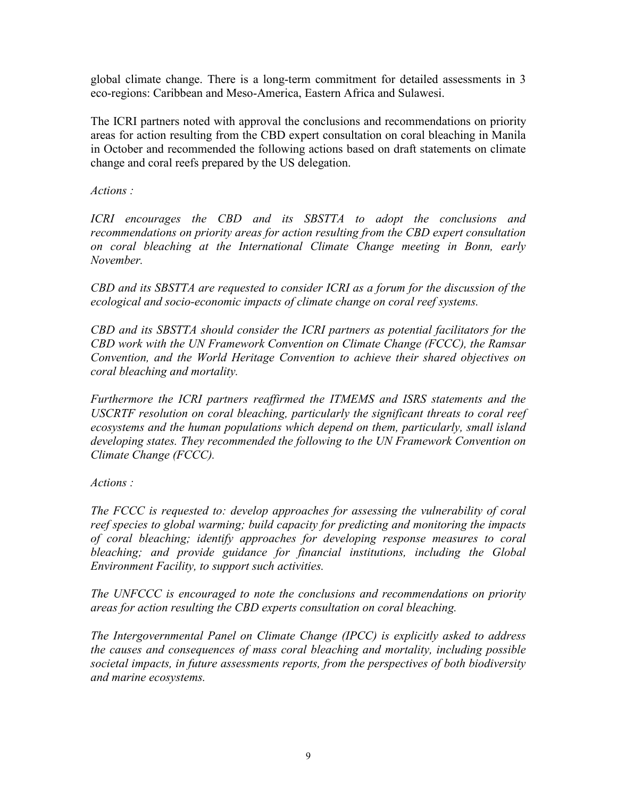global climate change. There is a long-term commitment for detailed assessments in 3 eco-regions: Caribbean and Meso-America, Eastern Africa and Sulawesi.

The ICRI partners noted with approval the conclusions and recommendations on priority areas for action resulting from the CBD expert consultation on coral bleaching in Manila in October and recommended the following actions based on draft statements on climate change and coral reefs prepared by the US delegation.

*Actions :* 

*ICRI encourages the CBD and its SBSTTA to adopt the conclusions and recommendations on priority areas for action resulting from the CBD expert consultation on coral bleaching at the International Climate Change meeting in Bonn, early November.* 

*CBD and its SBSTTA are requested to consider ICRI as a forum for the discussion of the ecological and socio-economic impacts of climate change on coral reef systems.* 

*CBD and its SBSTTA should consider the ICRI partners as potential facilitators for the CBD work with the UN Framework Convention on Climate Change (FCCC), the Ramsar Convention, and the World Heritage Convention to achieve their shared objectives on coral bleaching and mortality.* 

*Furthermore the ICRI partners reaffirmed the ITMEMS and ISRS statements and the USCRTF resolution on coral bleaching, particularly the significant threats to coral reef ecosystems and the human populations which depend on them, particularly, small island developing states. They recommended the following to the UN Framework Convention on Climate Change (FCCC).* 

*Actions :* 

*The FCCC is requested to: develop approaches for assessing the vulnerability of coral reef species to global warming; build capacity for predicting and monitoring the impacts of coral bleaching; identify approaches for developing response measures to coral bleaching; and provide guidance for financial institutions, including the Global Environment Facility, to support such activities.* 

*The UNFCCC is encouraged to note the conclusions and recommendations on priority areas for action resulting the CBD experts consultation on coral bleaching.* 

*The Intergovernmental Panel on Climate Change (IPCC) is explicitly asked to address the causes and consequences of mass coral bleaching and mortality, including possible societal impacts, in future assessments reports, from the perspectives of both biodiversity and marine ecosystems.*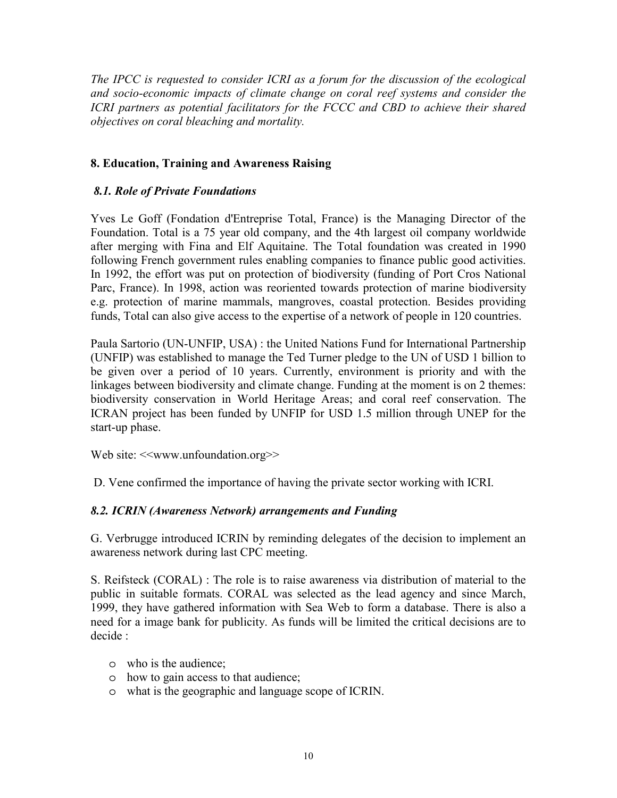*The IPCC is requested to consider ICRI as a forum for the discussion of the ecological and socio-economic impacts of climate change on coral reef systems and consider the ICRI partners as potential facilitators for the FCCC and CBD to achieve their shared objectives on coral bleaching and mortality.* 

## **8. Education, Training and Awareness Raising**

### *8.1. Role of Private Foundations*

Yves Le Goff (Fondation d'Entreprise Total, France) is the Managing Director of the Foundation. Total is a 75 year old company, and the 4th largest oil company worldwide after merging with Fina and Elf Aquitaine. The Total foundation was created in 1990 following French government rules enabling companies to finance public good activities. In 1992, the effort was put on protection of biodiversity (funding of Port Cros National Parc, France). In 1998, action was reoriented towards protection of marine biodiversity e.g. protection of marine mammals, mangroves, coastal protection. Besides providing funds, Total can also give access to the expertise of a network of people in 120 countries.

Paula Sartorio (UN-UNFIP, USA) : the United Nations Fund for International Partnership (UNFIP) was established to manage the Ted Turner pledge to the UN of USD 1 billion to be given over a period of 10 years. Currently, environment is priority and with the linkages between biodiversity and climate change. Funding at the moment is on 2 themes: biodiversity conservation in World Heritage Areas; and coral reef conservation. The ICRAN project has been funded by UNFIP for USD 1.5 million through UNEP for the start-up phase.

Web site: <<www.unfoundation.org>>

D. Vene confirmed the importance of having the private sector working with ICRI.

### *8.2. ICRIN (Awareness Network) arrangements and Funding*

G. Verbrugge introduced ICRIN by reminding delegates of the decision to implement an awareness network during last CPC meeting.

S. Reifsteck (CORAL) : The role is to raise awareness via distribution of material to the public in suitable formats. CORAL was selected as the lead agency and since March, 1999, they have gathered information with Sea Web to form a database. There is also a need for a image bank for publicity. As funds will be limited the critical decisions are to decide :

- o who is the audience;
- o how to gain access to that audience;
- o what is the geographic and language scope of ICRIN.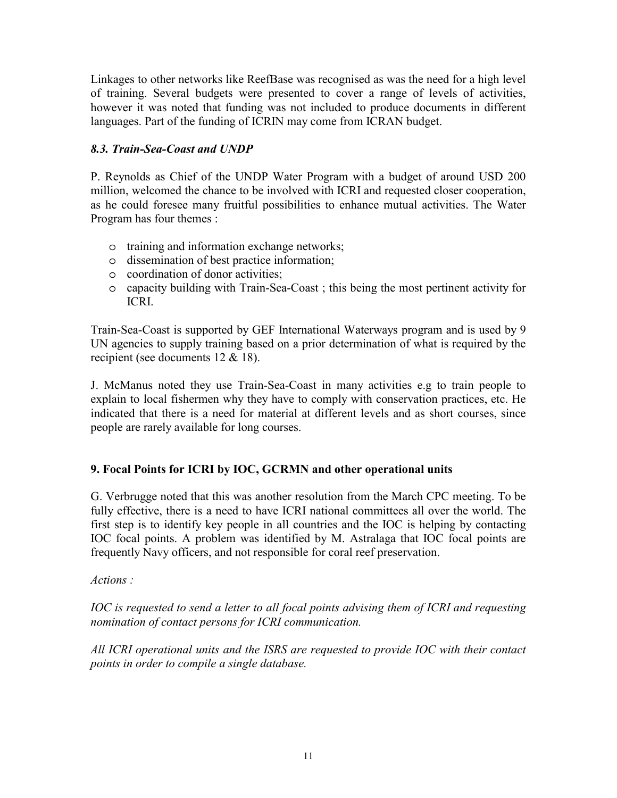Linkages to other networks like ReefBase was recognised as was the need for a high level of training. Several budgets were presented to cover a range of levels of activities, however it was noted that funding was not included to produce documents in different languages. Part of the funding of ICRIN may come from ICRAN budget.

# *8.3. Train-Sea-Coast and UNDP*

P. Reynolds as Chief of the UNDP Water Program with a budget of around USD 200 million, welcomed the chance to be involved with ICRI and requested closer cooperation, as he could foresee many fruitful possibilities to enhance mutual activities. The Water Program has four themes :

- o training and information exchange networks;
- o dissemination of best practice information;
- o coordination of donor activities;
- o capacity building with Train-Sea-Coast ; this being the most pertinent activity for ICRI.

Train-Sea-Coast is supported by GEF International Waterways program and is used by 9 UN agencies to supply training based on a prior determination of what is required by the recipient (see documents 12 & 18).

J. McManus noted they use Train-Sea-Coast in many activities e.g to train people to explain to local fishermen why they have to comply with conservation practices, etc. He indicated that there is a need for material at different levels and as short courses, since people are rarely available for long courses.

# **9. Focal Points for ICRI by IOC, GCRMN and other operational units**

G. Verbrugge noted that this was another resolution from the March CPC meeting. To be fully effective, there is a need to have ICRI national committees all over the world. The first step is to identify key people in all countries and the IOC is helping by contacting IOC focal points. A problem was identified by M. Astralaga that IOC focal points are frequently Navy officers, and not responsible for coral reef preservation.

*Actions :* 

*IOC is requested to send a letter to all focal points advising them of ICRI and requesting nomination of contact persons for ICRI communication.* 

*All ICRI operational units and the ISRS are requested to provide IOC with their contact points in order to compile a single database.*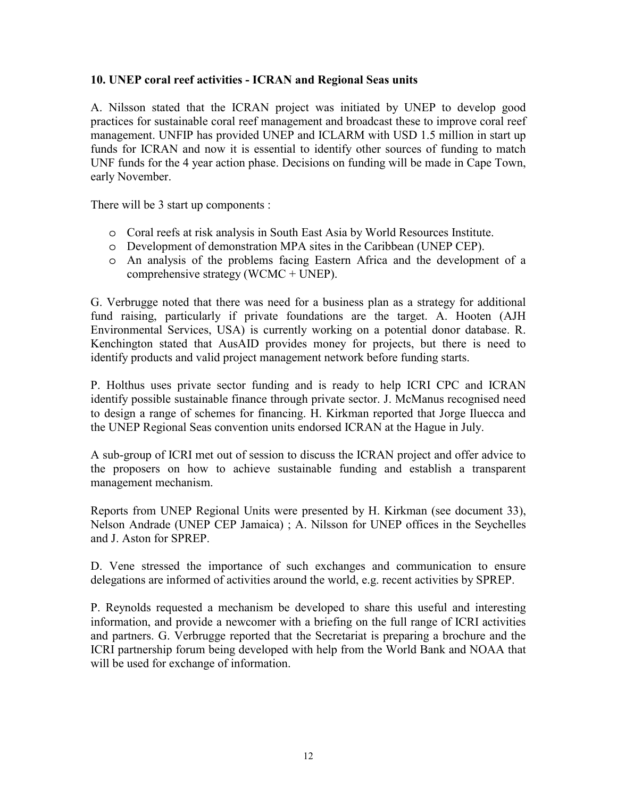### **10. UNEP coral reef activities - ICRAN and Regional Seas units**

A. Nilsson stated that the ICRAN project was initiated by UNEP to develop good practices for sustainable coral reef management and broadcast these to improve coral reef management. UNFIP has provided UNEP and ICLARM with USD 1.5 million in start up funds for ICRAN and now it is essential to identify other sources of funding to match UNF funds for the 4 year action phase. Decisions on funding will be made in Cape Town, early November.

There will be 3 start up components :

- o Coral reefs at risk analysis in South East Asia by World Resources Institute.
- o Development of demonstration MPA sites in the Caribbean (UNEP CEP).
- o An analysis of the problems facing Eastern Africa and the development of a comprehensive strategy (WCMC + UNEP).

G. Verbrugge noted that there was need for a business plan as a strategy for additional fund raising, particularly if private foundations are the target. A. Hooten (AJH Environmental Services, USA) is currently working on a potential donor database. R. Kenchington stated that AusAID provides money for projects, but there is need to identify products and valid project management network before funding starts.

P. Holthus uses private sector funding and is ready to help ICRI CPC and ICRAN identify possible sustainable finance through private sector. J. McManus recognised need to design a range of schemes for financing. H. Kirkman reported that Jorge Iluecca and the UNEP Regional Seas convention units endorsed ICRAN at the Hague in July.

A sub-group of ICRI met out of session to discuss the ICRAN project and offer advice to the proposers on how to achieve sustainable funding and establish a transparent management mechanism.

Reports from UNEP Regional Units were presented by H. Kirkman (see document 33), Nelson Andrade (UNEP CEP Jamaica) ; A. Nilsson for UNEP offices in the Seychelles and J. Aston for SPREP.

D. Vene stressed the importance of such exchanges and communication to ensure delegations are informed of activities around the world, e.g. recent activities by SPREP.

P. Reynolds requested a mechanism be developed to share this useful and interesting information, and provide a newcomer with a briefing on the full range of ICRI activities and partners. G. Verbrugge reported that the Secretariat is preparing a brochure and the ICRI partnership forum being developed with help from the World Bank and NOAA that will be used for exchange of information.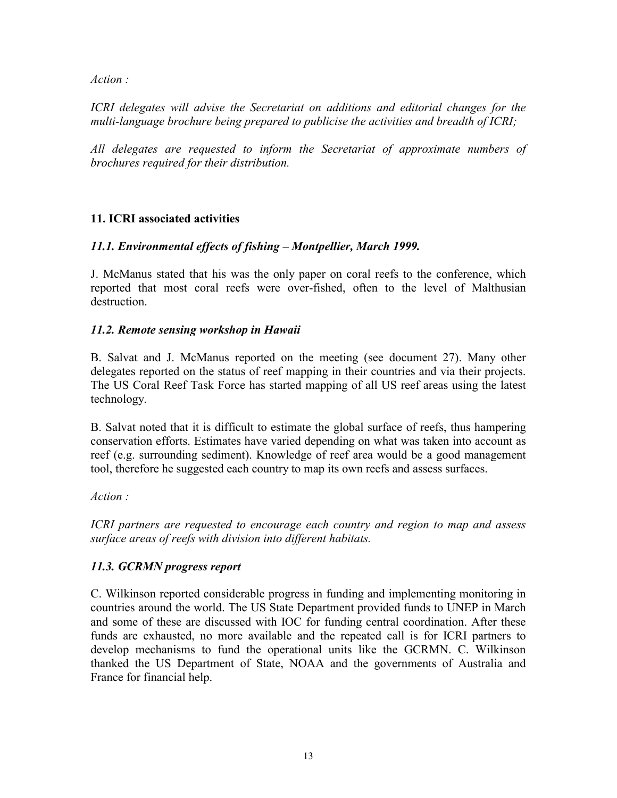*Action :* 

*ICRI delegates will advise the Secretariat on additions and editorial changes for the multi-language brochure being prepared to publicise the activities and breadth of ICRI;* 

*All delegates are requested to inform the Secretariat of approximate numbers of brochures required for their distribution.* 

### **11. ICRI associated activities**

### *11.1. Environmental effects of fishing - Montpellier, March 1999.*

J. McManus stated that his was the only paper on coral reefs to the conference, which reported that most coral reefs were over-fished, often to the level of Malthusian destruction.

### *11.2. Remote sensing workshop in Hawaii*

B. Salvat and J. McManus reported on the meeting (see document 27). Many other delegates reported on the status of reef mapping in their countries and via their projects. The US Coral Reef Task Force has started mapping of all US reef areas using the latest technology.

B. Salvat noted that it is difficult to estimate the global surface of reefs, thus hampering conservation efforts. Estimates have varied depending on what was taken into account as reef (e.g. surrounding sediment). Knowledge of reef area would be a good management tool, therefore he suggested each country to map its own reefs and assess surfaces.

*Action :* 

*ICRI partners are requested to encourage each country and region to map and assess surface areas of reefs with division into different habitats.* 

### *11.3. GCRMN progress report*

C. Wilkinson reported considerable progress in funding and implementing monitoring in countries around the world. The US State Department provided funds to UNEP in March and some of these are discussed with IOC for funding central coordination. After these funds are exhausted, no more available and the repeated call is for ICRI partners to develop mechanisms to fund the operational units like the GCRMN. C. Wilkinson thanked the US Department of State, NOAA and the governments of Australia and France for financial help.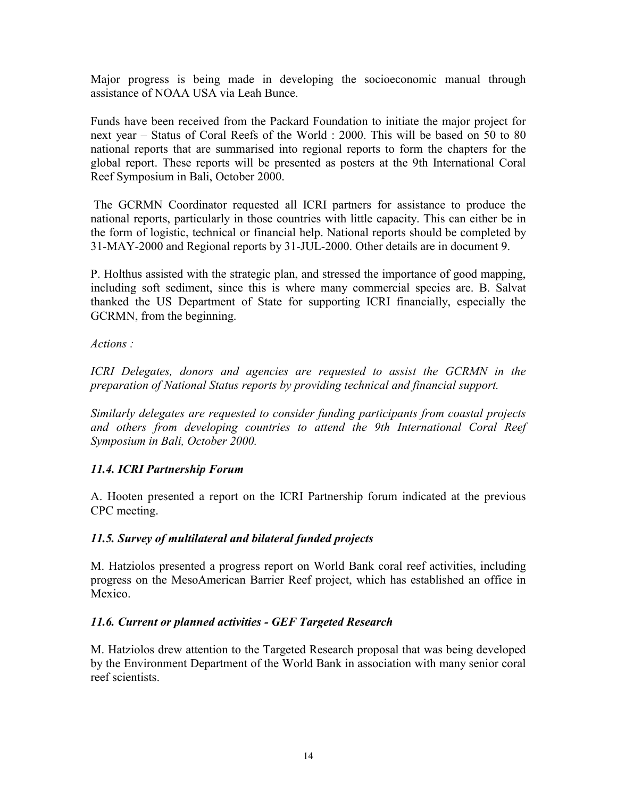Major progress is being made in developing the socioeconomic manual through assistance of NOAA USA via Leah Bunce.

Funds have been received from the Packard Foundation to initiate the major project for next year – Status of Coral Reefs of the World : 2000. This will be based on 50 to 80 national reports that are summarised into regional reports to form the chapters for the global report. These reports will be presented as posters at the 9th International Coral Reef Symposium in Bali, October 2000.

 The GCRMN Coordinator requested all ICRI partners for assistance to produce the national reports, particularly in those countries with little capacity. This can either be in the form of logistic, technical or financial help. National reports should be completed by 31-MAY-2000 and Regional reports by 31-JUL-2000. Other details are in document 9.

P. Holthus assisted with the strategic plan, and stressed the importance of good mapping, including soft sediment, since this is where many commercial species are. B. Salvat thanked the US Department of State for supporting ICRI financially, especially the GCRMN, from the beginning.

*Actions :* 

*ICRI Delegates, donors and agencies are requested to assist the GCRMN in the preparation of National Status reports by providing technical and financial support.* 

*Similarly delegates are requested to consider funding participants from coastal projects*  and others from developing countries to attend the 9th International Coral Reef *Symposium in Bali, October 2000.* 

### *11.4. ICRI Partnership Forum*

A. Hooten presented a report on the ICRI Partnership forum indicated at the previous CPC meeting.

### *11.5. Survey of multilateral and bilateral funded projects*

M. Hatziolos presented a progress report on World Bank coral reef activities, including progress on the MesoAmerican Barrier Reef project, which has established an office in Mexico.

### *11.6. Current or planned activities - GEF Targeted Research*

M. Hatziolos drew attention to the Targeted Research proposal that was being developed by the Environment Department of the World Bank in association with many senior coral reef scientists.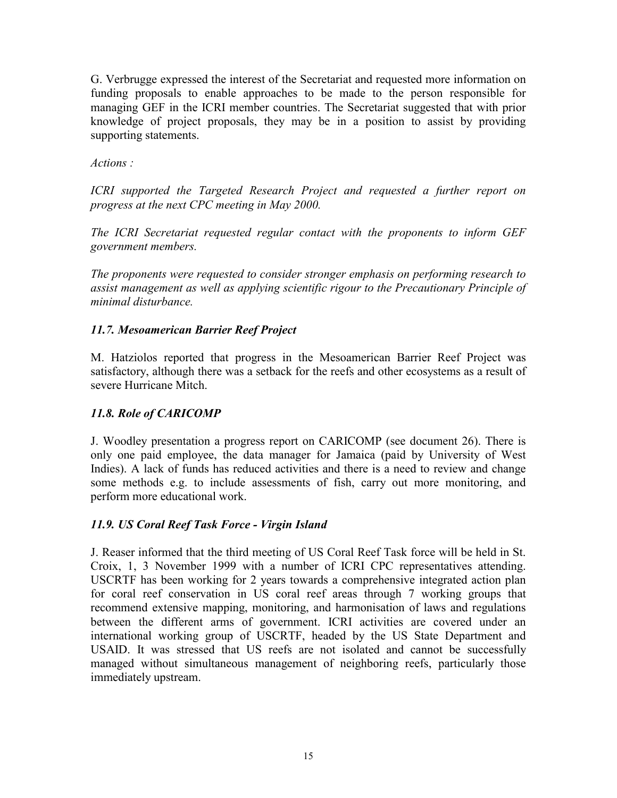G. Verbrugge expressed the interest of the Secretariat and requested more information on funding proposals to enable approaches to be made to the person responsible for managing GEF in the ICRI member countries. The Secretariat suggested that with prior knowledge of project proposals, they may be in a position to assist by providing supporting statements.

## *Actions :*

*ICRI supported the Targeted Research Project and requested a further report on progress at the next CPC meeting in May 2000.* 

*The ICRI Secretariat requested regular contact with the proponents to inform GEF government members.* 

*The proponents were requested to consider stronger emphasis on performing research to assist management as well as applying scientific rigour to the Precautionary Principle of minimal disturbance.* 

## *11.7. Mesoamerican Barrier Reef Project*

M. Hatziolos reported that progress in the Mesoamerican Barrier Reef Project was satisfactory, although there was a setback for the reefs and other ecosystems as a result of severe Hurricane Mitch.

# *11.8. Role of CARICOMP*

J. Woodley presentation a progress report on CARICOMP (see document 26). There is only one paid employee, the data manager for Jamaica (paid by University of West Indies). A lack of funds has reduced activities and there is a need to review and change some methods e.g. to include assessments of fish, carry out more monitoring, and perform more educational work.

# *11.9. US Coral Reef Task Force - Virgin Island*

J. Reaser informed that the third meeting of US Coral Reef Task force will be held in St. Croix, 1, 3 November 1999 with a number of ICRI CPC representatives attending. USCRTF has been working for 2 years towards a comprehensive integrated action plan for coral reef conservation in US coral reef areas through 7 working groups that recommend extensive mapping, monitoring, and harmonisation of laws and regulations between the different arms of government. ICRI activities are covered under an international working group of USCRTF, headed by the US State Department and USAID. It was stressed that US reefs are not isolated and cannot be successfully managed without simultaneous management of neighboring reefs, particularly those immediately upstream.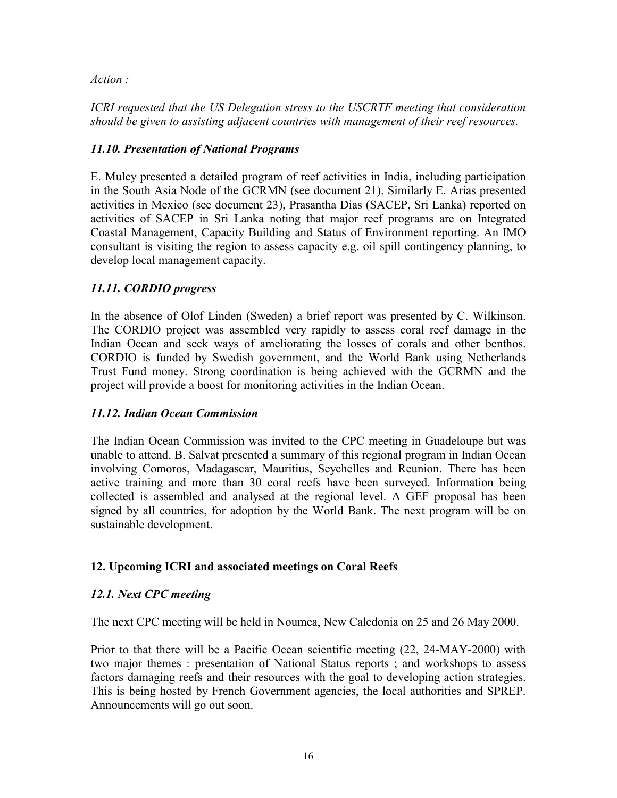*Action :* 

*ICRI requested that the US Delegation stress to the USCRTF meeting that consideration should be given to assisting adjacent countries with management of their reef resources.* 

## *11.10. Presentation of National Programs*

E. Muley presented a detailed program of reef activities in India, including participation in the South Asia Node of the GCRMN (see document 21). Similarly E. Arias presented activities in Mexico (see document 23), Prasantha Dias (SACEP, Sri Lanka) reported on activities of SACEP in Sri Lanka noting that major reef programs are on Integrated Coastal Management, Capacity Building and Status of Environment reporting. An IMO consultant is visiting the region to assess capacity e.g. oil spill contingency planning, to develop local management capacity.

# *11.11. CORDIO progress*

In the absence of Olof Linden (Sweden) a brief report was presented by C. Wilkinson. The CORDIO project was assembled very rapidly to assess coral reef damage in the Indian Ocean and seek ways of ameliorating the losses of corals and other benthos. CORDIO is funded by Swedish government, and the World Bank using Netherlands Trust Fund money. Strong coordination is being achieved with the GCRMN and the project will provide a boost for monitoring activities in the Indian Ocean.

### *11.12. Indian Ocean Commission*

The Indian Ocean Commission was invited to the CPC meeting in Guadeloupe but was unable to attend. B. Salvat presented a summary of this regional program in Indian Ocean involving Comoros, Madagascar, Mauritius, Seychelles and Reunion. There has been active training and more than 30 coral reefs have been surveyed. Information being collected is assembled and analysed at the regional level. A GEF proposal has been signed by all countries, for adoption by the World Bank. The next program will be on sustainable development.

### **12. Upcoming ICRI and associated meetings on Coral Reefs**

### *12.1. Next CPC meeting*

The next CPC meeting will be held in Noumea, New Caledonia on 25 and 26 May 2000.

Prior to that there will be a Pacific Ocean scientific meeting (22, 24-MAY-2000) with two major themes : presentation of National Status reports ; and workshops to assess factors damaging reefs and their resources with the goal to developing action strategies. This is being hosted by French Government agencies, the local authorities and SPREP. Announcements will go out soon.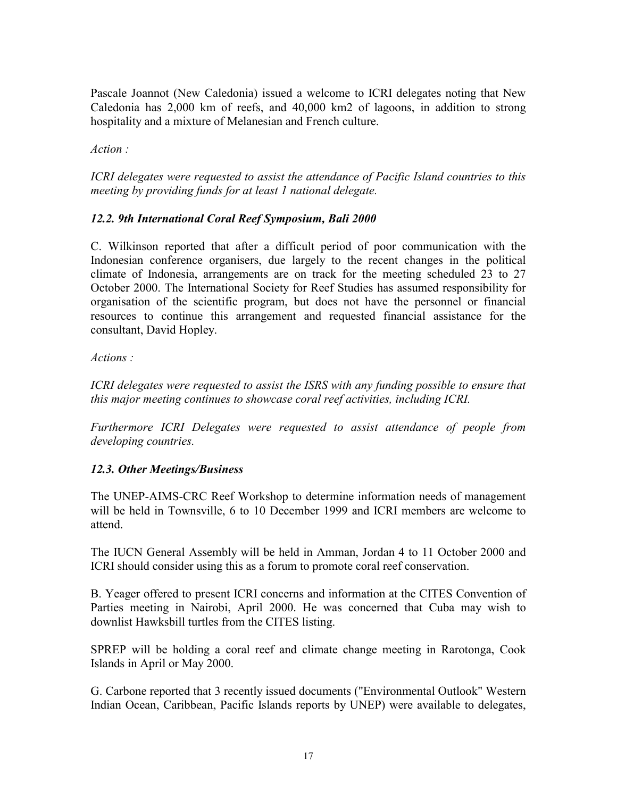Pascale Joannot (New Caledonia) issued a welcome to ICRI delegates noting that New Caledonia has 2,000 km of reefs, and 40,000 km2 of lagoons, in addition to strong hospitality and a mixture of Melanesian and French culture.

*Action :* 

*ICRI delegates were requested to assist the attendance of Pacific Island countries to this meeting by providing funds for at least 1 national delegate.* 

## *12.2. 9th International Coral Reef Symposium, Bali 2000*

C. Wilkinson reported that after a difficult period of poor communication with the Indonesian conference organisers, due largely to the recent changes in the political climate of Indonesia, arrangements are on track for the meeting scheduled 23 to 27 October 2000. The International Society for Reef Studies has assumed responsibility for organisation of the scientific program, but does not have the personnel or financial resources to continue this arrangement and requested financial assistance for the consultant, David Hopley.

*Actions :* 

*ICRI delegates were requested to assist the ISRS with any funding possible to ensure that this major meeting continues to showcase coral reef activities, including ICRI.* 

*Furthermore ICRI Delegates were requested to assist attendance of people from developing countries.* 

### *12.3. Other Meetings/Business*

The UNEP-AIMS-CRC Reef Workshop to determine information needs of management will be held in Townsville, 6 to 10 December 1999 and ICRI members are welcome to attend.

The IUCN General Assembly will be held in Amman, Jordan 4 to 11 October 2000 and ICRI should consider using this as a forum to promote coral reef conservation.

B. Yeager offered to present ICRI concerns and information at the CITES Convention of Parties meeting in Nairobi, April 2000. He was concerned that Cuba may wish to downlist Hawksbill turtles from the CITES listing.

SPREP will be holding a coral reef and climate change meeting in Rarotonga, Cook Islands in April or May 2000.

G. Carbone reported that 3 recently issued documents ("Environmental Outlook" Western Indian Ocean, Caribbean, Pacific Islands reports by UNEP) were available to delegates,